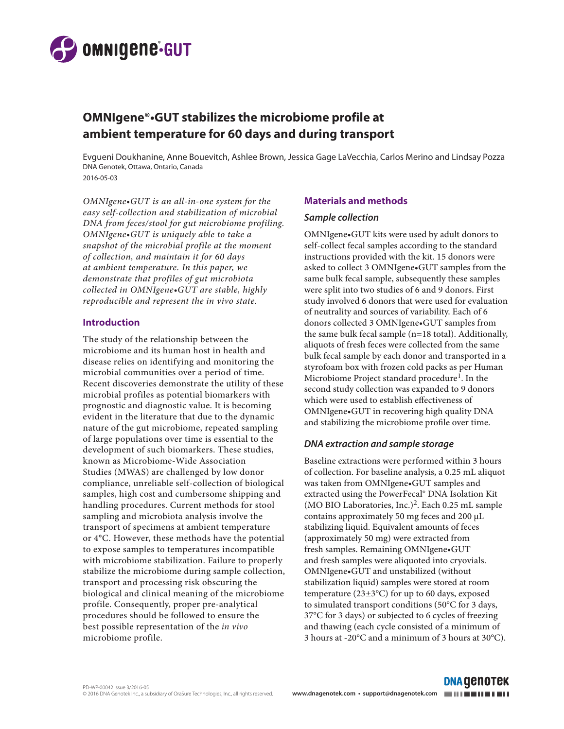

# **OMNIgene®•GUT stabilizes the microbiome profile at ambient temperature for 60 days and during transport**

Evgueni Doukhanine, Anne Bouevitch, Ashlee Brown, Jessica Gage LaVecchia, Carlos Merino and Lindsay Pozza DNA Genotek, Ottawa, Ontario, Canada 2016-05-03

*OMNIgene•GUT is an all-in-one system for the easy self-collection and stabilization of microbial DNA from feces/stool for gut microbiome profiling. OMNIgene•GUT is uniquely able to take a snapshot of the microbial profile at the moment of collection, and maintain it for 60 days at ambient temperature. In this paper, we demonstrate that profiles of gut microbiota collected in OMNIgene•GUT are stable, highly reproducible and represent the in vivo state.*

#### **Introduction**

The study of the relationship between the microbiome and its human host in health and disease relies on identifying and monitoring the microbial communities over a period of time. Recent discoveries demonstrate the utility of these microbial profiles as potential biomarkers with prognostic and diagnostic value. It is becoming evident in the literature that due to the dynamic nature of the gut microbiome, repeated sampling of large populations over time is essential to the development of such biomarkers. These studies, known as Microbiome-Wide Association Studies (MWAS) are challenged by low donor compliance, unreliable self-collection of biological samples, high cost and cumbersome shipping and handling procedures. Current methods for stool sampling and microbiota analysis involve the transport of specimens at ambient temperature or 4°C. However, these methods have the potential to expose samples to temperatures incompatible with microbiome stabilization. Failure to properly stabilize the microbiome during sample collection, transport and processing risk obscuring the biological and clinical meaning of the microbiome profile. Consequently, proper pre-analytical procedures should be followed to ensure the best possible representation of the *in vivo* microbiome profile.

#### **Materials and methods**

#### *Sample collection*

OMNIgene•GUT kits were used by adult donors to self-collect fecal samples according to the standard instructions provided with the kit. 15 donors were asked to collect 3 OMNIgene•GUT samples from the same bulk fecal sample, subsequently these samples were split into two studies of 6 and 9 donors. First study involved 6 donors that were used for evaluation of neutrality and sources of variability. Each of 6 donors collected 3 OMNIgene•GUT samples from the same bulk fecal sample (n=18 total). Additionally, aliquots of fresh feces were collected from the same bulk fecal sample by each donor and transported in a styrofoam box with frozen cold packs as per Human Microbiome Project standard procedure<sup>1</sup>. In the second study collection was expanded to 9 donors which were used to establish effectiveness of OMNIgene•GUT in recovering high quality DNA and stabilizing the microbiome profile over time.

### *DNA extraction and sample storage*

Baseline extractions were performed within 3 hours of collection. For baseline analysis, a 0.25 mL aliquot was taken from OMNIgene•GUT samples and extracted using the PowerFecal® DNA Isolation Kit (MO BIO Laboratories, Inc.)<sup>2</sup>. Each 0.25 mL sample contains approximately 50 mg feces and 200 µL stabilizing liquid. Equivalent amounts of feces (approximately 50 mg) were extracted from fresh samples. Remaining OMNIgene•GUT and fresh samples were aliquoted into cryovials. OMNIgene•GUT and unstabilized (without stabilization liquid) samples were stored at room temperature (23±3°C) for up to 60 days, exposed to simulated transport conditions (50°C for 3 days, 37°C for 3 days) or subjected to 6 cycles of freezing and thawing (each cycle consisted of a minimum of 3 hours at -20°C and a minimum of 3 hours at 30°C).

**DNA GENOTEK**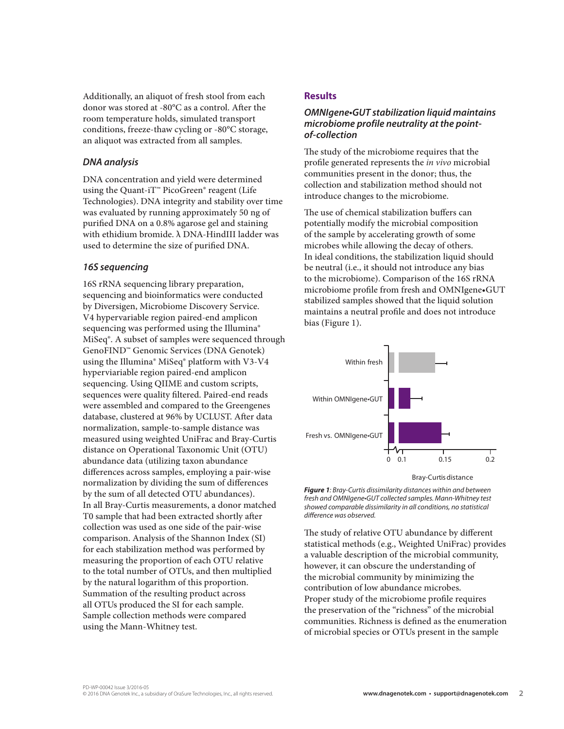Additionally, an aliquot of fresh stool from each donor was stored at -80°C as a control. After the room temperature holds, simulated transport conditions, freeze-thaw cycling or -80°C storage, an aliquot was extracted from all samples.

### *DNA analysis*

DNA concentration and yield were determined using the Quant-iT™ PicoGreen® reagent (Life Technologies). DNA integrity and stability over time was evaluated by running approximately 50 ng of purified DNA on a 0.8% agarose gel and staining with ethidium bromide. λ DNA-HindIII ladder was used to determine the size of purified DNA.

#### *16S sequencing*

16S rRNA sequencing library preparation, sequencing and bioinformatics were conducted by Diversigen, Microbiome Discovery Service. V4 hypervariable region paired-end amplicon sequencing was performed using the Illumina® MiSeq®. A subset of samples were sequenced through GenoFIND™ Genomic Services (DNA Genotek) using the Illumina® MiSeq® platform with V3-V4 hyperviariable region paired-end amplicon sequencing. Using QIIME and custom scripts, sequences were quality filtered. Paired-end reads were assembled and compared to the Greengenes database, clustered at 96% by UCLUST. After data normalization, sample-to-sample distance was measured using weighted UniFrac and Bray-Curtis distance on Operational Taxonomic Unit (OTU) abundance data (utilizing taxon abundance differences across samples, employing a pair-wise normalization by dividing the sum of differences by the sum of all detected OTU abundances). In all Bray-Curtis measurements, a donor matched T0 sample that had been extracted shortly after collection was used as one side of the pair-wise comparison. Analysis of the Shannon Index (SI) for each stabilization method was performed by measuring the proportion of each OTU relative to the total number of OTUs, and then multiplied by the natural logarithm of this proportion. Summation of the resulting product across all OTUs produced the SI for each sample. Sample collection methods were compared using the Mann-Whitney test.

### **Results**

## *OMNIgene•GUT stabilization liquid maintains microbiome profile neutrality at the pointof-collection*

The study of the microbiome requires that the profile generated represents the *in vivo* microbial communities present in the donor; thus, the collection and stabilization method should not introduce changes to the microbiome.

The use of chemical stabilization buffers can potentially modify the microbial composition of the sample by accelerating growth of some microbes while allowing the decay of others. In ideal conditions, the stabilization liquid should be neutral (i.e., it should not introduce any bias to the microbiome). Comparison of the 16S rRNA microbiome profile from fresh and OMNIgene•GUT stabilized samples showed that the liquid solution maintains a neutral profile and does not introduce bias (Figure 1).



Bray-Curtis distance

*Figure 1: Bray-Curtis dissimilarity distances within and between fresh and OMNIgene•GUT collected samples. Mann-Whitney test showed comparable dissimilarity in all conditions, no statistical difference was observed.*

The study of relative OTU abundance by different statistical methods (e.g., Weighted UniFrac) provides a valuable description of the microbial community, however, it can obscure the understanding of the microbial community by minimizing the contribution of low abundance microbes. Proper study of the microbiome profile requires the preservation of the "richness" of the microbial communities. Richness is defined as the enumeration of microbial species or OTUs present in the sample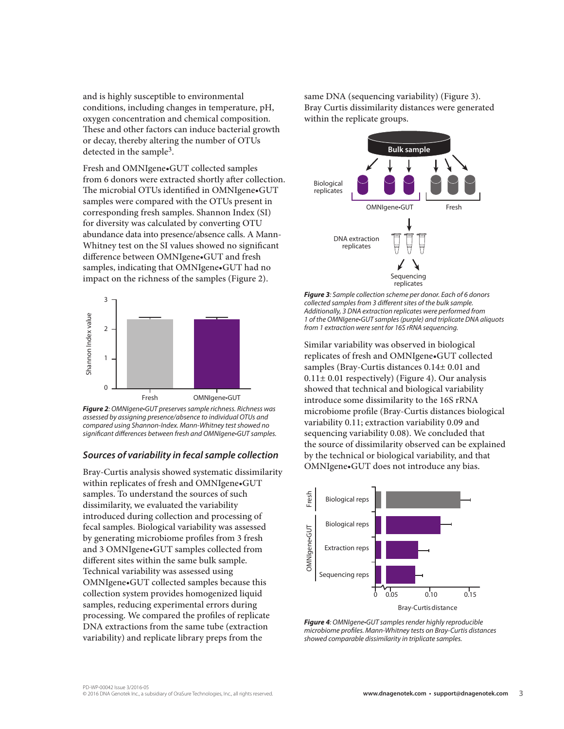and is highly susceptible to environmental conditions, including changes in temperature, pH, oxygen concentration and chemical composition. These and other factors can induce bacterial growth or decay, thereby altering the number of OTUs detected in the sample3.

Fresh and OMNIgene•GUT collected samples from 6 donors were extracted shortly after collection. The microbial OTUs identified in OMNIgene•GUT samples were compared with the OTUs present in corresponding fresh samples. Shannon Index (SI) for diversity was calculated by converting OTU abundance data into presence/absence calls. A Mann-Whitney test on the SI values showed no significant difference between OMNIgene•GUT and fresh samples, indicating that OMNIgene•GUT had no impact on the richness of the samples (Figure 2).



*Figure 2: OMNIgene•GUT preserves sample richness. Richness was assessed by assigning presence/absence to individual OTUs and compared using Shannon-Index. Mann-Whitney test showed no significant differences between fresh and OMNIgene•GUT samples.*

#### *Sources of variability in fecal sample collection*

Bray-Curtis analysis showed systematic dissimilarity within replicates of fresh and OMNIgene•GUT samples. To understand the sources of such dissimilarity, we evaluated the variability introduced during collection and processing of fecal samples. Biological variability was assessed by generating microbiome profiles from 3 fresh and 3 OMNIgene•GUT samples collected from different sites within the same bulk sample. Technical variability was assessed using OMNIgene•GUT collected samples because this collection system provides homogenized liquid samples, reducing experimental errors during processing. We compared the profiles of replicate DNA extractions from the same tube (extraction variability) and replicate library preps from the

same DNA (sequencing variability) (Figure 3). Bray Curtis dissimilarity distances were generated within the replicate groups.



*Figure 3: Sample collection scheme per donor. Each of 6 donors collected samples from 3 different sites of the bulk sample. Additionally, 3 DNA extraction replicates were performed from 1 of the OMNIgene•GUT samples (purple) and triplicate DNA aliquots from 1 extraction were sent for 16S rRNA sequencing.*

Similar variability was observed in biological replicates of fresh and OMNIgene•GUT collected samples (Bray-Curtis distances 0.14± 0.01 and  $0.11 \pm 0.01$  respectively) (Figure 4). Our analysis showed that technical and biological variability introduce some dissimilarity to the 16S rRNA microbiome profile (Bray-Curtis distances biological variability 0.11; extraction variability 0.09 and sequencing variability 0.08). We concluded that the source of dissimilarity observed can be explained by the technical or biological variability, and that OMNIgene•GUT does not introduce any bias.



*Figure 4: OMNIgene•GUT samples render highly reproducible microbiome profiles. Mann-Whitney tests on Bray-Curtis distances showed comparable dissimilarity in triplicate samples.*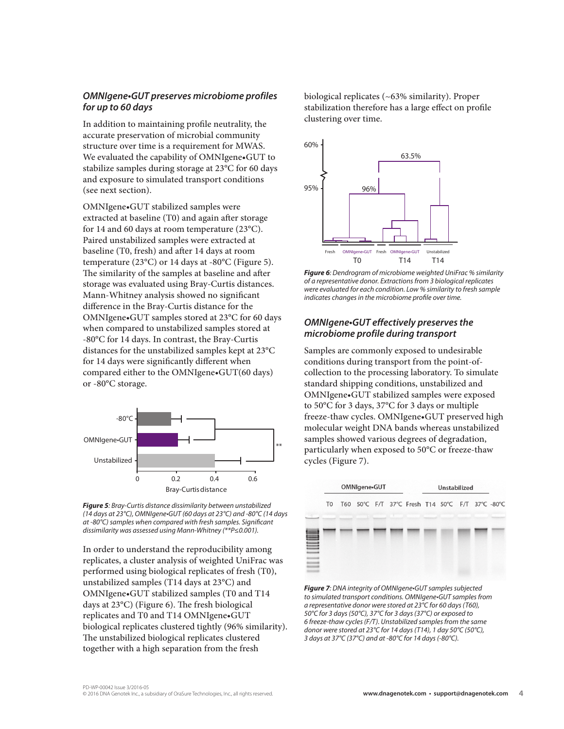### *OMNIgene•GUT preserves microbiome profiles for up to 60 days*

In addition to maintaining profile neutrality, the accurate preservation of microbial community structure over time is a requirement for MWAS. We evaluated the capability of OMNIgene•GUT to stabilize samples during storage at 23°C for 60 days and exposure to simulated transport conditions (see next section).

OMNIgene•GUT stabilized samples were extracted at baseline (T0) and again after storage for 14 and 60 days at room temperature (23°C). Paired unstabilized samples were extracted at baseline (T0, fresh) and after 14 days at room temperature (23°C) or 14 days at -80°C (Figure 5). The similarity of the samples at baseline and after storage was evaluated using Bray-Curtis distances. Mann-Whitney analysis showed no significant difference in the Bray-Curtis distance for the OMNIgene•GUT samples stored at 23°C for 60 days when compared to unstabilized samples stored at -80°C for 14 days. In contrast, the Bray-Curtis distances for the unstabilized samples kept at 23°C for 14 days were significantly different when compared either to the OMNIgene•GUT(60 days) or -80°C storage.



*Figure 5: Bray-Curtis distance dissimilarity between unstabilized (14 days at 23°C), OMNIgene•GUT (60 days at 23°C) and -80°C (14 days at -80°C) samples when compared with fresh samples. Significant dissimilarity was assessed using Mann-Whitney (\*\*P≤0.001).*

In order to understand the reproducibility among replicates, a cluster analysis of weighted UniFrac was performed using biological replicates of fresh (T0), unstabilized samples (T14 days at 23°C) and OMNIgene•GUT stabilized samples (T0 and T14 days at 23°C) (Figure 6). The fresh biological replicates and T0 and T14 OMNIgene•GUT biological replicates clustered tightly (96% similarity). The unstabilized biological replicates clustered together with a high separation from the fresh

biological replicates (~63% similarity). Proper stabilization therefore has a large effect on profile clustering over time.



*Figure 6: Dendrogram of microbiome weighted UniFrac % similarity of a representative donor. Extractions from 3 biological replicates were evaluated for each condition. Low % similarity to fresh sample indicates changes in the microbiome profile over time.*

#### *OMNIgene•GUT effectively preserves the microbiome profile during transport*

Samples are commonly exposed to undesirable conditions during transport from the point-ofcollection to the processing laboratory. To simulate standard shipping conditions, unstabilized and OMNIgene•GUT stabilized samples were exposed to 50°C for 3 days, 37°C for 3 days or multiple freeze-thaw cycles. OMNIgene•GUT preserved high molecular weight DNA bands whereas unstabilized samples showed various degrees of degradation, particularly when exposed to 50°C or freeze-thaw cycles (Figure 7).



*Figure 7: DNA integrity of OMNIgene•GUT samples subjected to simulated transport conditions. OMNIgene•GUT samples from a representative donor were stored at 23°C for 60 days (T60), 50°C for 3 days (50°C), 37°C for 3 days (37°C) or exposed to 6 freeze-thaw cycles (F/T). Unstabilized samples from the same donor were stored at 23°C for 14 days (T14), 1 day 50°C (50°C), 3 days at 37°C (37°C) and at -80°C for 14 days (-80°C).*